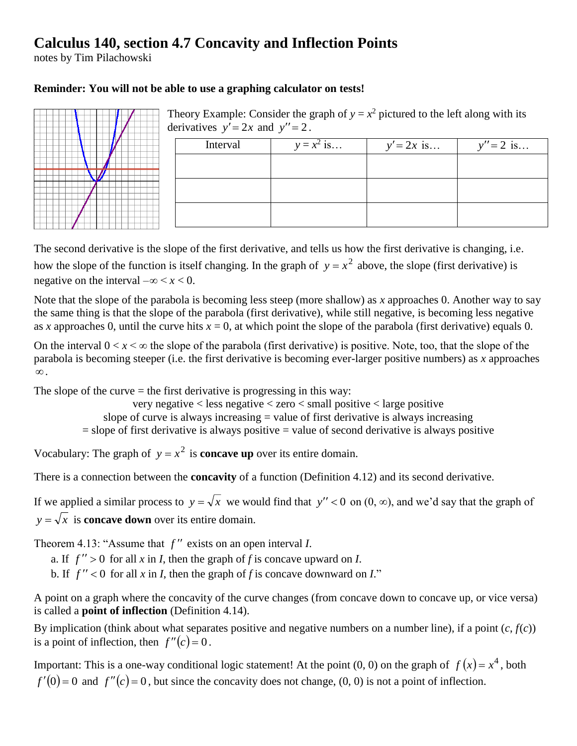## **Calculus 140, section 4.7 Concavity and Inflection Points**

notes by Tim Pilachowski

## **Reminder: You will not be able to use a graphing calculator on tests!**



Theory Example: Consider the graph of  $y = x^2$  pictured to the left along with its derivatives  $y' = 2x$  and  $y'' = 2$ .

| Interval | $y = x^2$ is | $y' = 2x$ is | $y'' = 2$ is |
|----------|--------------|--------------|--------------|
|          |              |              |              |
|          |              |              |              |
|          |              |              |              |
|          |              |              |              |

The second derivative is the slope of the first derivative, and tells us how the first derivative is changing, i.e. how the slope of the function is itself changing. In the graph of  $y = x^2$  above, the slope (first derivative) is negative on the interval  $-\infty < x < 0$ .

Note that the slope of the parabola is becoming less steep (more shallow) as *x* approaches 0. Another way to say the same thing is that the slope of the parabola (first derivative), while still negative, is becoming less negative as *x* approaches 0, until the curve hits  $x = 0$ , at which point the slope of the parabola (first derivative) equals 0.

On the interval  $0 < x < \infty$  the slope of the parabola (first derivative) is positive. Note, too, that the slope of the parabola is becoming steeper (i.e. the first derivative is becoming ever-larger positive numbers) as *x* approaches .

The slope of the curve  $=$  the first derivative is progressing in this way:

very negative < less negative < zero < small positive < large positive slope of curve is always increasing  $=$  value of first derivative is always increasing  $=$  slope of first derivative is always positive  $=$  value of second derivative is always positive

Vocabulary: The graph of  $y = x^2$  is **concave up** over its entire domain.

There is a connection between the **concavity** of a function (Definition 4.12) and its second derivative.

If we applied a similar process to  $y = \sqrt{x}$  we would find that  $y'' < 0$  on  $(0, \infty)$ , and we'd say that the graph of  $y = \sqrt{x}$  is **concave down** over its entire domain.

Theorem 4.13: "Assume that  $f''$  exists on an open interval *I*.

a. If  $f'' > 0$  for all x in I, then the graph of f is concave upward on I.

b. If  $f'' < 0$  for all x in *I*, then the graph of f is concave downward on *I*."

A point on a graph where the concavity of the curve changes (from concave down to concave up, or vice versa) is called a **point of inflection** (Definition 4.14).

By implication (think about what separates positive and negative numbers on a number line), if a point  $(c, f(c))$ is a point of inflection, then  $f''(c) = 0$ .

Important: This is a one-way conditional logic statement! At the point  $(0, 0)$  on the graph of  $f(x) = x^4$ , both  $f'(0) = 0$  and  $f''(c) = 0$ , but since the concavity does not change, (0, 0) is not a point of inflection.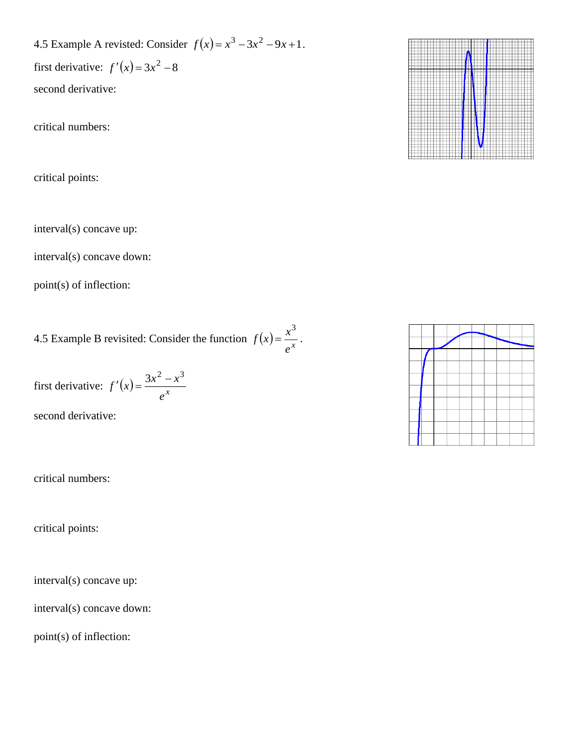4.5 Example A revisted: Consider  $f(x) = x^3 - 3x^2 - 9x + 1$ .

first derivative:  $f'(x) = 3x^2 - 8$ second derivative:

critical numbers:

critical points:

interval(s) concave up:

interval(s) concave down:

point(s) of inflection:

4.5 Example B revisited: Consider the function  $f(x) = \frac{x}{e^x}$  $f(x) = \frac{x}{x}$ 3  $=\frac{\lambda}{\alpha}$ .

first derivative:  $f'(x) = \frac{3x}{e^x}$  $f'(x) = \frac{3x - x}{x}$  $y(x) = \frac{3x^2 - x^3}{x^3}$ 

second derivative:

critical numbers:

critical points:

interval(s) concave up:

interval(s) concave down:

point(s) of inflection:



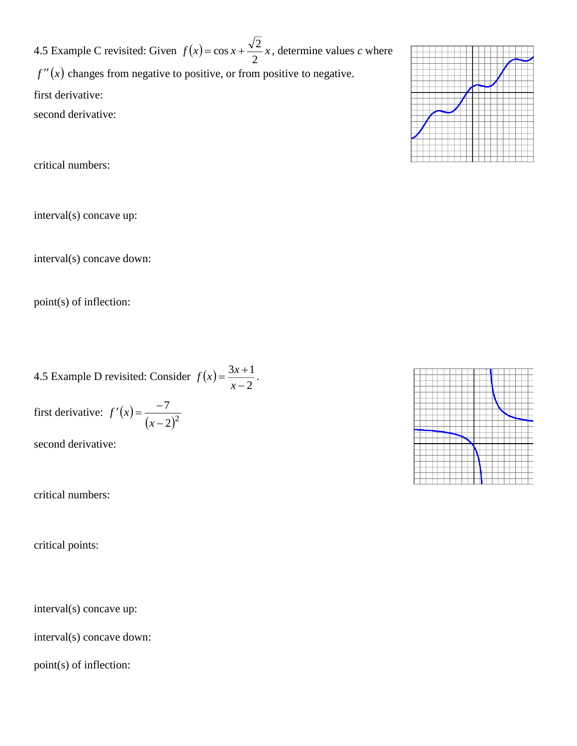4.5 Example C revisited: Given  $f(x) = \cos x + \frac{\sqrt{2}}{2}x$  $=\cos x + \frac{\sqrt{2}}{2}x$ , determine values *c* where  $f''(x)$  changes from negative to positive, or from positive to negative. first derivative: second derivative:

critical numbers:

interval(s) concave up:

interval(s) concave down:

point(s) of inflection:

4.5 Example D revisited: Consider  $f(x)$ 2  $3x + 1$ - $=\frac{3x+1}{x+1}$ *x*  $f(x) = \frac{3x+1}{2}$ .

first derivative:  $f'(x)$  $(x-2)^2$ 7 Ξ,  $f(x) = \frac{1}{x-1}$ *f <sup>x</sup>*

second derivative:

critical numbers:

critical points:

interval(s) concave up:

interval(s) concave down:

point(s) of inflection:

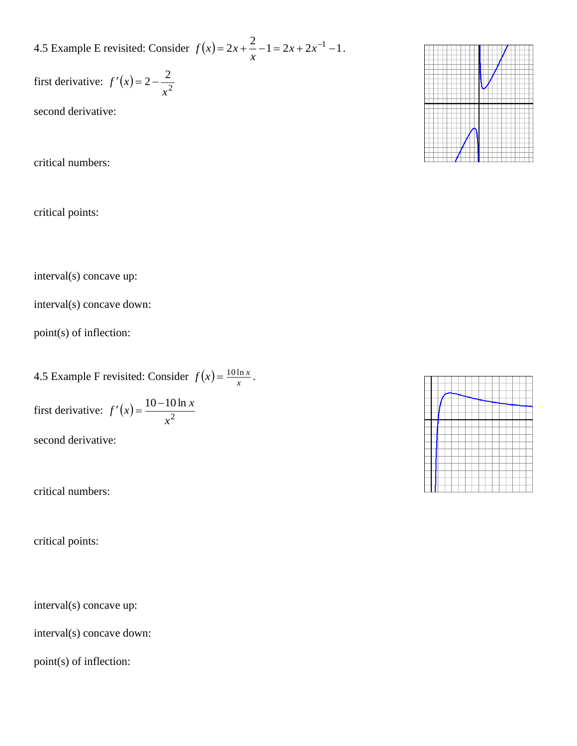4.5 Example E revisited: Consider  $f(x) = 2x + \frac{2}{x} - 1 = 2x + 2x^{-1} - 1$  $f(x) = 2x + \frac{2}{x} - 1 = 2x + 2x^{-1} - 1$ .

first derivative:  $f'(x) = 2 - \frac{2}{x}$  $2 - \frac{2}{3}$ *x*  $f'(x) = 2 -$ 

second derivative:

critical numbers:

critical points:

interval(s) concave up:

interval(s) concave down:

point(s) of inflection:

4.5 Example F revisited: Consider  $f(x) = \frac{10 \text{ h}}{x}$  $f(x) = \frac{10 \ln x}{x}$ .

first derivative:  $f'(x) = \frac{10-10}{2}$ 10 10 ln *x*  $f'(x) = \frac{10 - 10 \ln x}{x}$ 

second derivative:

critical numbers:

critical points:

interval(s) concave up:

interval(s) concave down:

point(s) of inflection: